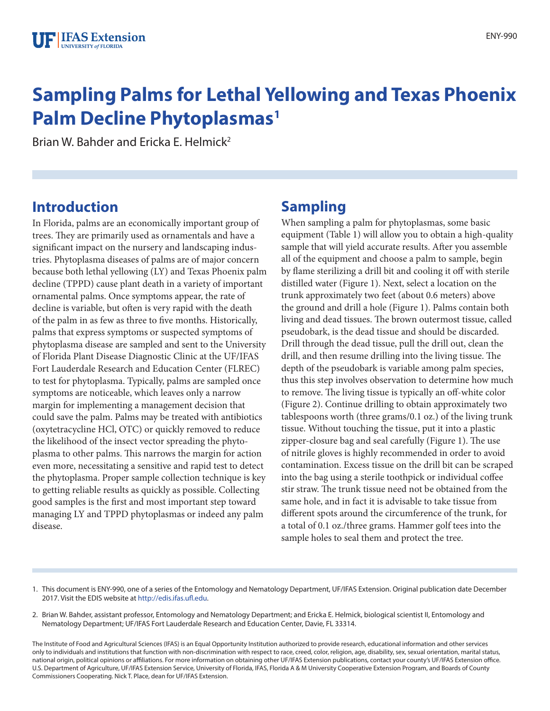# **Sampling Palms for Lethal Yellowing and Texas Phoenix Palm Decline Phytoplasmas<sup>1</sup>**

Brian W. Bahder and Ericka E. Helmick<sup>2</sup>

## **Introduction**

In Florida, palms are an economically important group of trees. They are primarily used as ornamentals and have a significant impact on the nursery and landscaping industries. Phytoplasma diseases of palms are of major concern because both lethal yellowing (LY) and Texas Phoenix palm decline (TPPD) cause plant death in a variety of important ornamental palms. Once symptoms appear, the rate of decline is variable, but often is very rapid with the death of the palm in as few as three to five months. Historically, palms that express symptoms or suspected symptoms of phytoplasma disease are sampled and sent to the University of Florida Plant Disease Diagnostic Clinic at the UF/IFAS Fort Lauderdale Research and Education Center (FLREC) to test for phytoplasma. Typically, palms are sampled once symptoms are noticeable, which leaves only a narrow margin for implementing a management decision that could save the palm. Palms may be treated with antibiotics (oxytetracycline HCl, OTC) or quickly removed to reduce the likelihood of the insect vector spreading the phytoplasma to other palms. This narrows the margin for action even more, necessitating a sensitive and rapid test to detect the phytoplasma. Proper sample collection technique is key to getting reliable results as quickly as possible. Collecting good samples is the first and most important step toward managing LY and TPPD phytoplasmas or indeed any palm disease.

## **Sampling**

When sampling a palm for phytoplasmas, some basic equipment (Table 1) will allow you to obtain a high-quality sample that will yield accurate results. After you assemble all of the equipment and choose a palm to sample, begin by flame sterilizing a drill bit and cooling it off with sterile distilled water (Figure 1). Next, select a location on the trunk approximately two feet (about 0.6 meters) above the ground and drill a hole (Figure 1). Palms contain both living and dead tissues. The brown outermost tissue, called pseudobark, is the dead tissue and should be discarded. Drill through the dead tissue, pull the drill out, clean the drill, and then resume drilling into the living tissue. The depth of the pseudobark is variable among palm species, thus this step involves observation to determine how much to remove. The living tissue is typically an off-white color (Figure 2). Continue drilling to obtain approximately two tablespoons worth (three grams/0.1 oz.) of the living trunk tissue. Without touching the tissue, put it into a plastic zipper-closure bag and seal carefully (Figure 1). The use of nitrile gloves is highly recommended in order to avoid contamination. Excess tissue on the drill bit can be scraped into the bag using a sterile toothpick or individual coffee stir straw. The trunk tissue need not be obtained from the same hole, and in fact it is advisable to take tissue from different spots around the circumference of the trunk, for a total of 0.1 oz./three grams. Hammer golf tees into the sample holes to seal them and protect the tree.

The Institute of Food and Agricultural Sciences (IFAS) is an Equal Opportunity Institution authorized to provide research, educational information and other services only to individuals and institutions that function with non-discrimination with respect to race, creed, color, religion, age, disability, sex, sexual orientation, marital status, national origin, political opinions or affiliations. For more information on obtaining other UF/IFAS Extension publications, contact your county's UF/IFAS Extension office. U.S. Department of Agriculture, UF/IFAS Extension Service, University of Florida, IFAS, Florida A & M University Cooperative Extension Program, and Boards of County Commissioners Cooperating. Nick T. Place, dean for UF/IFAS Extension.

<sup>1.</sup> This document is ENY-990, one of a series of the Entomology and Nematology Department, UF/IFAS Extension. Original publication date December 2017. Visit the EDIS website at http://edis.ifas.ufl.edu.

<sup>2.</sup> Brian W. Bahder, assistant professor, Entomology and Nematology Department; and Ericka E. Helmick, biological scientist II, Entomology and Nematology Department; UF/IFAS Fort Lauderdale Research and Education Center, Davie, FL 33314.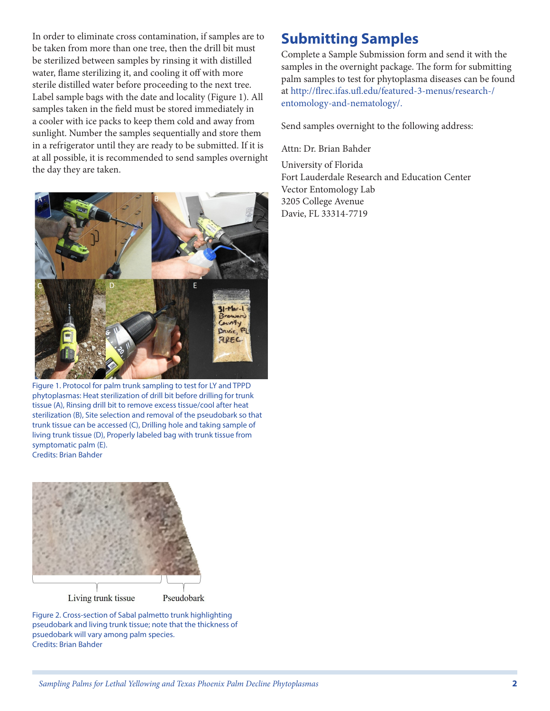In order to eliminate cross contamination, if samples are to be taken from more than one tree, then the drill bit must be sterilized between samples by rinsing it with distilled water, flame sterilizing it, and cooling it off with more sterile distilled water before proceeding to the next tree. Label sample bags with the date and locality (Figure 1). All samples taken in the field must be stored immediately in a cooler with ice packs to keep them cold and away from sunlight. Number the samples sequentially and store them in a refrigerator until they are ready to be submitted. If it is at all possible, it is recommended to send samples overnight the day they are taken.



Figure 1. Protocol for palm trunk sampling to test for LY and TPPD phytoplasmas: Heat sterilization of drill bit before drilling for trunk tissue (A), Rinsing drill bit to remove excess tissue/cool after heat sterilization (B), Site selection and removal of the pseudobark so that trunk tissue can be accessed (C), Drilling hole and taking sample of living trunk tissue (D), Properly labeled bag with trunk tissue from symptomatic palm (E). Credits: Brian Bahder



Figure 2. Cross-section of Sabal palmetto trunk highlighting pseudobark and living trunk tissue; note that the thickness of psuedobark will vary among palm species. Credits: Brian Bahder

#### **Submitting Samples**

Complete a Sample Submission form and send it with the samples in the overnight package. The form for submitting palm samples to test for phytoplasma diseases can be found at http://flrec.ifas.ufl.edu/featured-3-menus/research-/ entomology-and-nematology/.

Send samples overnight to the following address:

Attn: Dr. Brian Bahder

University of Florida Fort Lauderdale Research and Education Center Vector Entomology Lab 3205 College Avenue Davie, FL 33314-7719